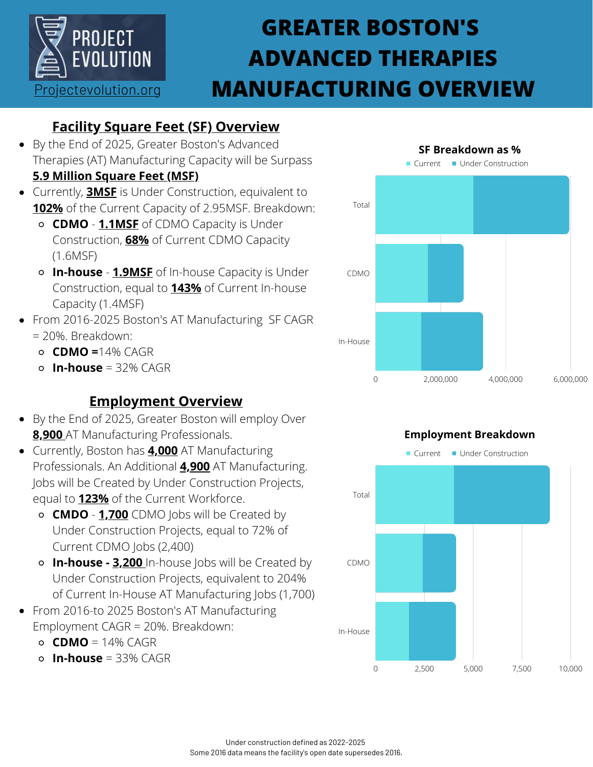

## **GREATER BOSTON'S ADVANCED THERAPIES MANUFACTURING OVERVIEW**

## **Facility Square Feet (SF) Overview**

By the End of 2025, Greater Boston's Advanced Therapies (AT) Manufacturing Capacity will be Surpass

### **5.9 Million Square Feet (MSF)**

- Currently, **3MSF** is Under Construction, equivalent to **102%** of the Current Capacity of 2.95MSF. Breakdown:
	- **CDMO 1.1MSF** of CDMO Capacity is Under Construction, **68%** of Current CDMO Capacity (1.6MSF)
	- **In-house 1.9MSF** of In-house Capacity is Under Construction, equal to **143%** of Current In-house Capacity (1.4MSF)
- From 2016-2025 Boston's AT Manufacturing SF CAGR = 20%. Breakdown:
	- **CDMO =**14% CAGR
	- $\circ$  **In-house** = 32% CAGR

## **Employment Overview**

- By the End of 2025, Greater Boston will employ Over **8,900** AT Manufacturing Professionals.
- Currently, Boston has **4,000** AT Manufacturing Professionals. An Additional **4,900** AT Manufacturing. Jobs will be Created by Under Construction Projects, equal to **123%** of the Current Workforce.
	- **CMDO 1,700** CDMO Jobs will be Created by Under Construction Projects, equal to 72% of Current CDMO Jobs (2,400)
	- **In-house 3,200** In-house Jobs will be Created by Under Construction Projects, equivalent to 204% of Current In-House AT Manufacturing Jobs (1,700)
- From 2016-to 2025 Boston's AT Manufacturing Employment CAGR = 20%. Breakdown:
	- **CDMO** = 14% CAGR
	- **In-house** = 33% CAGR



# Current Under Construction 0 2,500 5,000 7,500 10,000 Total CDMO In-House **Employment Breakdown**

#### Under construction defined as 2022-2025 Some 2016 data means the facility's open date supersedes 2016.